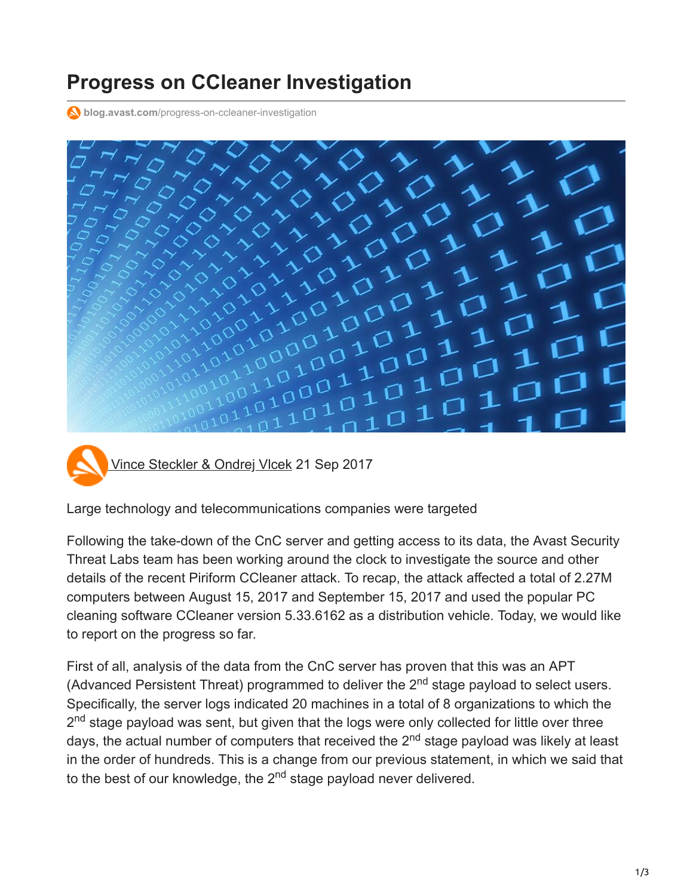## **Progress on CCleaner Investigation**

**blog.avast.com**[/progress-on-ccleaner-investigation](https://blog.avast.com/progress-on-ccleaner-investigation)



[Vince Steckler & Ondrej Vlcek](https://blog.avast.com/author/vince-steckler-ondrej-vlcek) 21 Sep 2017

Large technology and telecommunications companies were targeted

Following the take-down of the CnC server and getting access to its data, the Avast Security Threat Labs team has been working around the clock to investigate the source and other details of the recent Piriform CCleaner attack. To recap, the attack affected a total of 2.27M computers between August 15, 2017 and September 15, 2017 and used the popular PC cleaning software CCleaner version 5.33.6162 as a distribution vehicle. Today, we would like to report on the progress so far.

First of all, analysis of the data from the CnC server has proven that this was an APT (Advanced Persistent Threat) programmed to deliver the  $2<sup>nd</sup>$  stage payload to select users. Specifically, the server logs indicated 20 machines in a total of 8 organizations to which the 2<sup>nd</sup> stage payload was sent, but given that the logs were only collected for little over three days, the actual number of computers that received the 2<sup>nd</sup> stage payload was likely at least in the order of hundreds. This is a change from our previous statement, in which we said that to the best of our knowledge, the 2<sup>nd</sup> stage payload never delivered.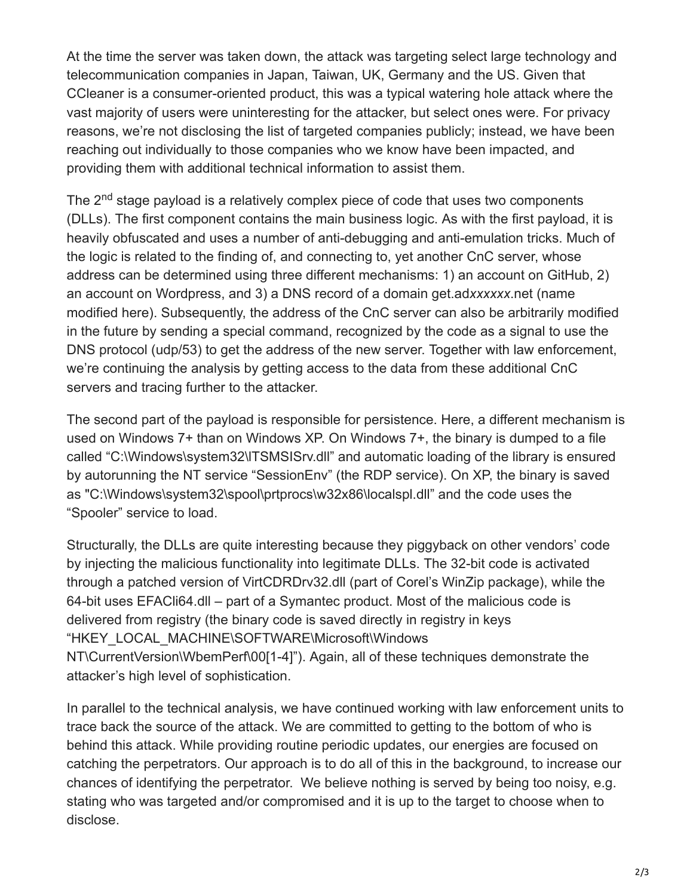At the time the server was taken down, the attack was targeting select large technology and telecommunication companies in Japan, Taiwan, UK, Germany and the US. Given that CCleaner is a consumer-oriented product, this was a typical watering hole attack where the vast majority of users were uninteresting for the attacker, but select ones were. For privacy reasons, we're not disclosing the list of targeted companies publicly; instead, we have been reaching out individually to those companies who we know have been impacted, and providing them with additional technical information to assist them.

The 2<sup>nd</sup> stage payload is a relatively complex piece of code that uses two components (DLLs). The first component contains the main business logic. As with the first payload, it is heavily obfuscated and uses a number of anti-debugging and anti-emulation tricks. Much of the logic is related to the finding of, and connecting to, yet another CnC server, whose address can be determined using three different mechanisms: 1) an account on GitHub, 2) an account on Wordpress, and 3) a DNS record of a domain get.ad*xxxxxx*.net (name modified here). Subsequently, the address of the CnC server can also be arbitrarily modified in the future by sending a special command, recognized by the code as a signal to use the DNS protocol (udp/53) to get the address of the new server. Together with law enforcement, we're continuing the analysis by getting access to the data from these additional CnC servers and tracing further to the attacker.

The second part of the payload is responsible for persistence. Here, a different mechanism is used on Windows 7+ than on Windows XP. On Windows 7+, the binary is dumped to a file called "C:\Windows\system32\lTSMSISrv.dll" and automatic loading of the library is ensured by autorunning the NT service "SessionEnv" (the RDP service). On XP, the binary is saved as "C:\Windows\system32\spool\prtprocs\w32x86\localspl.dll" and the code uses the "Spooler" service to load.

Structurally, the DLLs are quite interesting because they piggyback on other vendors' code by injecting the malicious functionality into legitimate DLLs. The 32-bit code is activated through a patched version of VirtCDRDrv32.dll (part of Corel's WinZip package), while the 64-bit uses EFACli64.dll – part of a Symantec product. Most of the malicious code is delivered from registry (the binary code is saved directly in registry in keys "HKEY\_LOCAL\_MACHINE\SOFTWARE\Microsoft\Windows NT\CurrentVersion\WbemPerf\00[1-4]"). Again, all of these techniques demonstrate the attacker's high level of sophistication.

In parallel to the technical analysis, we have continued working with law enforcement units to trace back the source of the attack. We are committed to getting to the bottom of who is behind this attack. While providing routine periodic updates, our energies are focused on catching the perpetrators. Our approach is to do all of this in the background, to increase our chances of identifying the perpetrator. We believe nothing is served by being too noisy, e.g. stating who was targeted and/or compromised and it is up to the target to choose when to disclose.